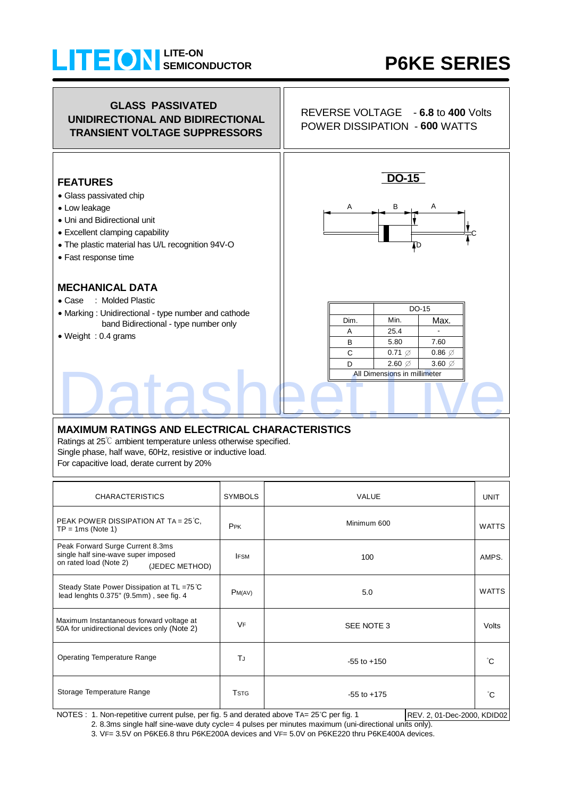### **SEMICONDUCTOR LITE-ON**

# **P6KE SERIES**



#### **MAXIMUM RATINGS AND ELECTRICAL CHARACTERISTICS**

Ratings at 25℃ ambient temperature unless otherwise specified. Single phase, half wave, 60Hz, resistive or inductive load. For capacitive load, derate current by 20%

| <b>CHARACTERISTICS</b>                                                                                              | <b>SYMBOLS</b>          | <b>VALUE</b>    |              |  |  |
|---------------------------------------------------------------------------------------------------------------------|-------------------------|-----------------|--------------|--|--|
| PEAK POWER DISSIPATION AT TA = $25^{\circ}$ C,<br>$TP = 1ms$ (Note 1)                                               | PPK                     | Minimum 600     | <b>WATTS</b> |  |  |
| Peak Forward Surge Current 8.3ms<br>single half sine-wave super imposed<br>on rated load (Note 2)<br>(JEDEC METHOD) | <b>IFSM</b>             | 100             | AMPS.        |  |  |
| Steady State Power Dissipation at TL =75°C<br>lead lenghts 0.375" (9.5mm), see fig. 4                               | PM(AV)                  | 5.0             | <b>WATTS</b> |  |  |
| Maximum Instantaneous forward voltage at<br>50A for unidirectional devices only (Note 2)                            | <b>VF</b>               | SEE NOTE 3      | Volts        |  |  |
| <b>Operating Temperature Range</b>                                                                                  | TJ                      | $-55$ to $+150$ | °C           |  |  |
| Storage Temperature Range                                                                                           | <b>T</b> <sub>STG</sub> | $-55$ to $+175$ | °C.          |  |  |

NOTES : 1. Non-repetitive current pulse, per fig. 5 and derated above TA= 25°C per fig. 1 REV. 2, 01-Dec-2000, KDID02

2. 8.3ms single half sine-wave duty cycle= 4 pulses per minutes maximum (uni-directional units only).

3. VF= 3.5V on P6KE6.8 thru P6KE200A devices and VF= 5.0V on P6KE220 thru P6KE400A devices.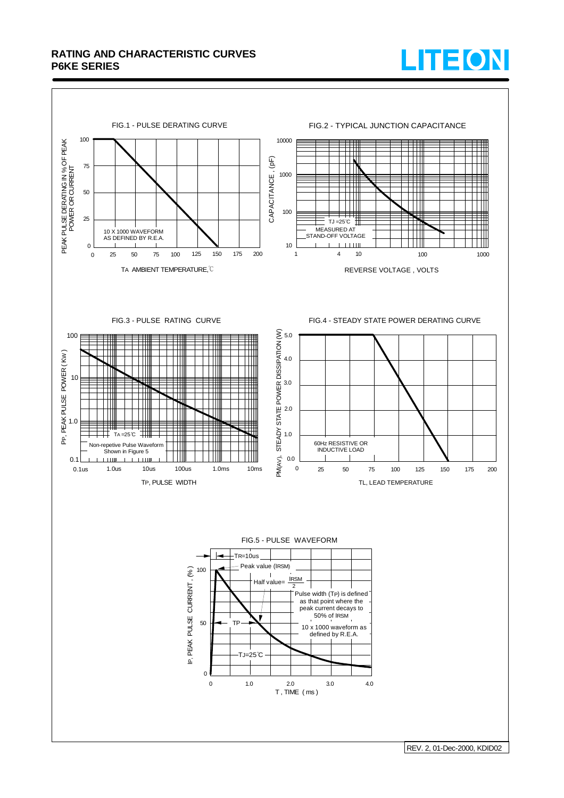#### **RATING AND CHARACTERISTIC CURVES P6KE SERIES**





REV. 2, 01-Dec-2000, KDID02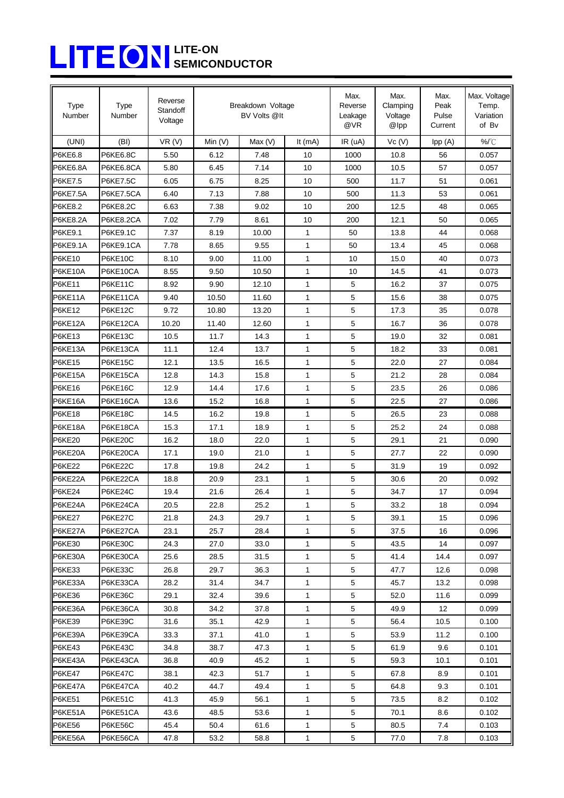## **SEMICONDUCTOR LITE-ON**

| <b>Type</b><br>Number | <b>Type</b><br>Number | Reverse<br>Standoff<br>Voltage | Breakdown Voltage<br>BV Volts @It |        |              | Max.<br>Reverse<br>Leakage<br>@VR | Max.<br>Clamping<br>Voltage<br>@lpp | Max.<br>Peak<br>Pulse<br>Current | Max. Voltage<br>Temp.<br>Variation<br>of Bv |
|-----------------------|-----------------------|--------------------------------|-----------------------------------|--------|--------------|-----------------------------------|-------------------------------------|----------------------------------|---------------------------------------------|
| (UNI)                 | (BI)                  | VR(V)                          | Min $(V)$                         | Max(V) | It $(mA)$    | IR (uA)                           | Vc(V)                               | Ipp(A)                           | %/°C                                        |
| P6KE6.8               | <b>P6KE6.8C</b>       | 5.50                           | 6.12                              | 7.48   | 10           | 1000                              | 10.8                                | 56                               | 0.057                                       |
| P6KE6.8A              | P6KE6.8CA             | 5.80                           | 6.45                              | 7.14   | 10           | 1000                              | 10.5                                | 57                               | 0.057                                       |
| P6KE7.5               | <b>P6KE7.5C</b>       | 6.05                           | 6.75                              | 8.25   | 10           | 500                               | 11.7                                | 51                               | 0.061                                       |
| <b>P6KE7.5A</b>       | P6KE7.5CA             | 6.40                           | 7.13                              | 7.88   | 10           | 500                               | 11.3                                | 53                               | 0.061                                       |
| P6KE8.2               | <b>P6KE8.2C</b>       | 6.63                           | 7.38                              | 9.02   | 10           | 200                               | 12.5                                | 48                               | 0.065                                       |
| P6KE8.2A              | P6KE8.2CA             | 7.02                           | 7.79                              | 8.61   | 10           | 200                               | 12.1                                | 50                               | 0.065                                       |
| P6KE9.1               | <b>P6KE9.1C</b>       | 7.37                           | 8.19                              | 10.00  | 1            | 50                                | 13.8                                | 44                               | 0.068                                       |
| <b>P6KE9.1A</b>       | P6KE9.1CA             | 7.78                           | 8.65                              | 9.55   | $\mathbf{1}$ | 50                                | 13.4                                | 45                               | 0.068                                       |
| <b>P6KE10</b>         | P6KE10C               | 8.10                           | 9.00                              | 11.00  | $\mathbf{1}$ | 10                                | 15.0                                | 40                               | 0.073                                       |
| <b>P6KE10A</b>        | P6KE10CA              | 8.55                           | 9.50                              | 10.50  | $\mathbf{1}$ | 10                                | 14.5                                | 41                               | 0.073                                       |
| <b>P6KE11</b>         | <b>P6KE11C</b>        | 8.92                           | 9.90                              | 12.10  | 1            | 5                                 | 16.2                                | 37                               | 0.075                                       |
| P6KE11A               | P6KE11CA              | 9.40                           | 10.50                             | 11.60  | 1            | 5                                 | 15.6                                | 38                               | 0.075                                       |
| <b>P6KE12</b>         | <b>P6KE12C</b>        | 9.72                           | 10.80                             | 13.20  | $\mathbf{1}$ | 5                                 | 17.3                                | 35                               | 0.078                                       |
| P6KE12A               | P6KE12CA              | 10.20                          | 11.40                             | 12.60  | 1            | 5                                 | 16.7                                | 36                               | 0.078                                       |
| <b>P6KE13</b>         | <b>P6KE13C</b>        | 10.5                           | 11.7                              | 14.3   | $\mathbf{1}$ | 5                                 | 19.0                                | 32                               | 0.081                                       |
| P6KE13A               | P6KE13CA              | 11.1                           | 12.4                              | 13.7   | 1            | 5                                 | 18.2                                | 33                               | 0.081                                       |
| <b>P6KE15</b>         | <b>P6KE15C</b>        | 12.1                           | 13.5                              | 16.5   | $\mathbf{1}$ | 5                                 | 22.0                                | 27                               | 0.084                                       |
| P6KE15A               | P6KE15CA              | 12.8                           | 14.3                              | 15.8   | 1            | 5                                 | 21.2                                | 28                               | 0.084                                       |
| <b>P6KE16</b>         | P6KE16C               | 12.9                           | 14.4                              | 17.6   | $\mathbf{1}$ | 5                                 | 23.5                                | 26                               | 0.086                                       |
| P6KE16A               | P6KE16CA              | 13.6                           | 15.2                              | 16.8   | 1            | 5                                 | 22.5                                | 27                               | 0.086                                       |
| <b>P6KE18</b>         | <b>P6KE18C</b>        | 14.5                           | 16.2                              | 19.8   | 1            | 5                                 | 26.5                                | 23                               | 0.088                                       |
| P6KE18A               | P6KE18CA              | 15.3                           | 17.1                              | 18.9   | 1            | 5                                 | 25.2                                | 24                               | 0.088                                       |
| <b>P6KE20</b>         | <b>P6KE20C</b>        | 16.2                           | 18.0                              | 22.0   | 1            | 5                                 | 29.1                                | 21                               | 0.090                                       |
| P6KE20A               | P6KE20CA              | 17.1                           | 19.0                              | 21.0   | 1            | 5                                 | 27.7                                | 22                               | 0.090                                       |
| <b>P6KE22</b>         | P6KE22C               | 17.8                           | 19.8                              | 24.2   | $\mathbf{1}$ | 5                                 | 31.9                                | 19                               | 0.092                                       |
| P6KE22A               | P6KE22CA              | 18.8                           | 20.9                              | 23.1   | 1            | 5                                 | 30.6                                | 20                               | 0.092                                       |
| <b>P6KE24</b>         | P6KE24C               | 19.4                           | 21.6                              | 26.4   | 1            | 5                                 | 34.7                                | 17                               | 0.094                                       |
| P6KE24A               | P6KE24CA              | 20.5                           | 22.8                              | 25.2   | 1            | 5                                 | 33.2                                | 18                               | 0.094                                       |
| <b>P6KE27</b>         | P6KE27C               | 21.8                           | 24.3                              | 29.7   | 1            | 5                                 | 39.1                                | 15                               | 0.096                                       |
| P6KE27A               | P6KE27CA              | 23.1                           | 25.7                              | 28.4   | 1            | 5                                 | 37.5                                | 16                               | 0.096                                       |
| <b>P6KE30</b>         | P6KE30C               | 24.3                           | 27.0                              | 33.0   | 1            | 5                                 | 43.5                                | 14                               | 0.097                                       |
| P6KE30A               | P6KE30CA              | 25.6                           | 28.5                              | 31.5   | 1            | 5                                 | 41.4                                | 14.4                             | 0.097                                       |
| <b>P6KE33</b>         | P6KE33C               | 26.8                           | 29.7                              | 36.3   | 1            | 5                                 | 47.7                                | 12.6                             | 0.098                                       |
| P6KE33A               | P6KE33CA              | 28.2                           | 31.4                              | 34.7   | 1            | 5                                 | 45.7                                | 13.2                             | 0.098                                       |
| <b>P6KE36</b>         | P6KE36C               | 29.1                           | 32.4                              | 39.6   | 1            | 5                                 | 52.0                                | 11.6                             | 0.099                                       |
| P6KE36A               | P6KE36CA              | 30.8                           | 34.2                              | 37.8   | 1            | 5                                 | 49.9                                | 12                               | 0.099                                       |
| P6KE39                | P6KE39C               | 31.6                           | 35.1                              | 42.9   | 1            | 5                                 | 56.4                                | 10.5                             | 0.100                                       |
| P6KE39A               | P6KE39CA              | 33.3                           | 37.1                              | 41.0   | 1            | 5                                 | 53.9                                | 11.2                             | 0.100                                       |
| <b>P6KE43</b>         | P6KE43C               | 34.8                           | 38.7                              | 47.3   | 1            | 5                                 | 61.9                                | 9.6                              | 0.101                                       |
| P6KE43A               | P6KE43CA              | 36.8                           | 40.9                              | 45.2   | 1            | 5                                 | 59.3                                | 10.1                             | 0.101                                       |
| <b>P6KE47</b>         | P6KE47C               | 38.1                           | 42.3                              | 51.7   | 1            | 5                                 | 67.8                                | 8.9                              | 0.101                                       |
| P6KE47A               | P6KE47CA              | 40.2                           | 44.7                              | 49.4   | 1            | 5                                 | 64.8                                | 9.3                              | 0.101                                       |
| <b>P6KE51</b>         | <b>P6KE51C</b>        | 41.3                           | 45.9                              | 56.1   | 1            | 5                                 | 73.5                                | 8.2                              | 0.102                                       |
| P6KE51A               | P6KE51CA              | 43.6                           | 48.5                              | 53.6   | 1            | 5                                 | 70.1                                | 8.6                              | 0.102                                       |
| <b>P6KE56</b>         | P6KE56C               | 45.4                           | 50.4                              | 61.6   | 1            | 5                                 | 80.5                                | 7.4                              | 0.103                                       |
| P6KE56A               | P6KE56CA              | 47.8                           | 53.2                              | 58.8   | 1            | 5                                 | 77.0                                | 7.8                              | 0.103                                       |